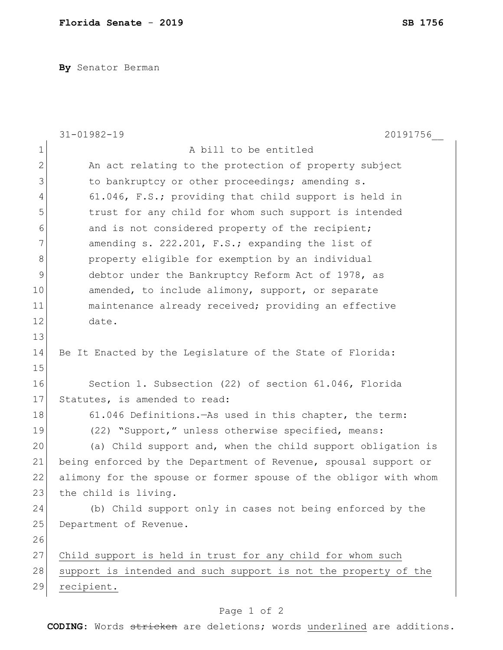**By** Senator Berman

|               | 20191756<br>$31 - 01982 - 19$                                    |
|---------------|------------------------------------------------------------------|
| $\mathbf{1}$  | A bill to be entitled                                            |
| $\mathbf{2}$  | An act relating to the protection of property subject            |
| 3             | to bankruptcy or other proceedings; amending s.                  |
| 4             | 61.046, F.S.; providing that child support is held in            |
| 5             | trust for any child for whom such support is intended            |
| 6             | and is not considered property of the recipient;                 |
| 7             | amending s. 222.201, F.S.; expanding the list of                 |
| 8             | property eligible for exemption by an individual                 |
| $\mathcal{G}$ | debtor under the Bankruptcy Reform Act of 1978, as               |
| 10            | amended, to include alimony, support, or separate                |
| 11            | maintenance already received; providing an effective             |
| 12            | date.                                                            |
| 13            |                                                                  |
| 14            | Be It Enacted by the Legislature of the State of Florida:        |
| 15            |                                                                  |
| 16            | Section 1. Subsection (22) of section 61.046, Florida            |
| 17            | Statutes, is amended to read:                                    |
| 18            | 61.046 Definitions. As used in this chapter, the term:           |
| 19            | (22) "Support," unless otherwise specified, means:               |
| 20            | (a) Child support and, when the child support obligation is      |
| 21            | being enforced by the Department of Revenue, spousal support or  |
| 22            | alimony for the spouse or former spouse of the obligor with whom |
| 23            | the child is living.                                             |
| 24            | (b) Child support only in cases not being enforced by the        |
| 25            | Department of Revenue.                                           |
| 26            |                                                                  |
| 27            | Child support is held in trust for any child for whom such       |
| 28            | support is intended and such support is not the property of the  |
| 29            | recipient.                                                       |
|               |                                                                  |

## Page 1 of 2

**CODING**: Words stricken are deletions; words underlined are additions.